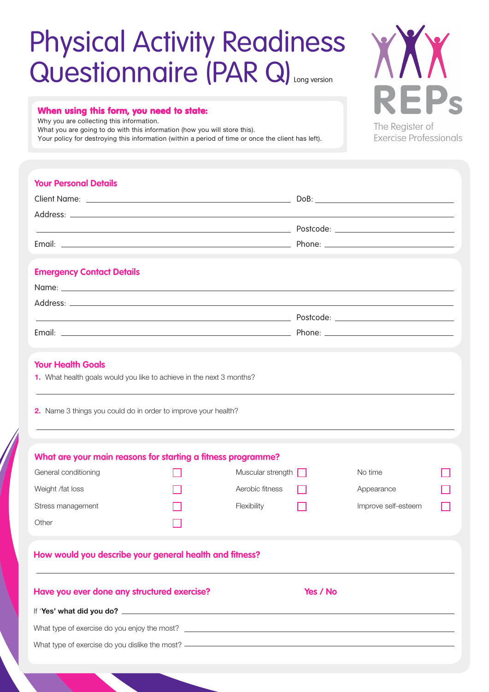## Questionnaire (PAR Q) Physical Activity Readiness

#### When using this form, you need to state:

Why you are collecting this information.

What you are going to do with this information (how you will store this).

Your policy for destroying this information (within a period of time or once the client has left).

XXX **REPs** The Register of **Exercise Professionals** 

#### **Your Personal Details**

| <b>Emergency Contact Details</b>                                                                                                                                   |  |                          |          |                                                                                  |  |
|--------------------------------------------------------------------------------------------------------------------------------------------------------------------|--|--------------------------|----------|----------------------------------------------------------------------------------|--|
|                                                                                                                                                                    |  |                          |          |                                                                                  |  |
|                                                                                                                                                                    |  |                          |          |                                                                                  |  |
|                                                                                                                                                                    |  |                          |          |                                                                                  |  |
|                                                                                                                                                                    |  |                          |          |                                                                                  |  |
| <b>Your Health Goals</b><br>1. What health goals would you like to achieve in the next 3 months?<br>2. Name 3 things you could do in order to improve your health? |  |                          |          | ,我们也不会有什么。""我们的人,我们也不会有什么?""我们的人,我们也不会有什么?""我们的人,我们也不会有什么?""我们的人,我们也不会有什么?""我们的人 |  |
| What are your main reasons for starting a fitness programme?<br>General conditioning                                                                               |  | Muscular strength $\Box$ |          | No time                                                                          |  |
| Weight /fat loss                                                                                                                                                   |  | Aerobic fitness          |          | Appearance                                                                       |  |
|                                                                                                                                                                    |  |                          |          | Improve self-esteem                                                              |  |
| Stress management<br>Other                                                                                                                                         |  | Flexibility              |          |                                                                                  |  |
| How would you describe your general health and fitness?                                                                                                            |  |                          |          |                                                                                  |  |
| Have you ever done any structured exercise?                                                                                                                        |  |                          | Yes / No |                                                                                  |  |
|                                                                                                                                                                    |  |                          |          |                                                                                  |  |
|                                                                                                                                                                    |  |                          |          |                                                                                  |  |

What type of exercise do you dislike the most? -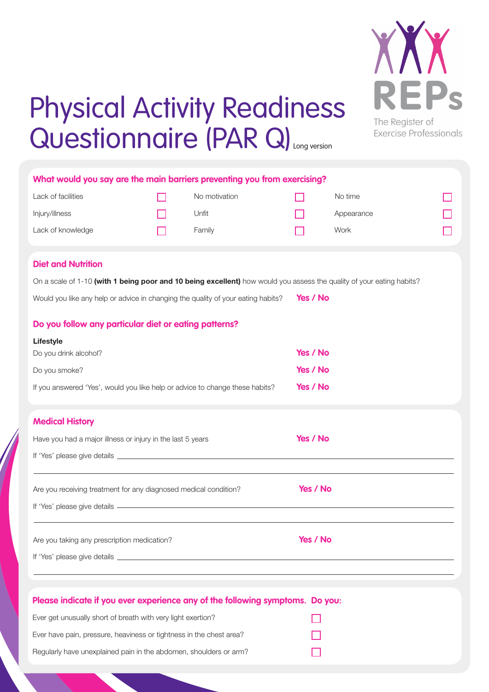

**Exercise Professionals** 

## Physical Activity Readiness Questionnaire (PAR Q) Long version

| What would you say are the main barriers preventing you from exercising?                                              |  |               |          |            |  |  |  |  |  |  |
|-----------------------------------------------------------------------------------------------------------------------|--|---------------|----------|------------|--|--|--|--|--|--|
| Lack of facilities                                                                                                    |  | No motivation |          | No time    |  |  |  |  |  |  |
| Injury/illness                                                                                                        |  | Unfit         |          | Appearance |  |  |  |  |  |  |
| Lack of knowledge                                                                                                     |  | Family        |          | Work       |  |  |  |  |  |  |
|                                                                                                                       |  |               |          |            |  |  |  |  |  |  |
| <b>Diet and Nutrition</b>                                                                                             |  |               |          |            |  |  |  |  |  |  |
| On a scale of 1-10 (with 1 being poor and 10 being excellent) how would you assess the quality of your eating habits? |  |               |          |            |  |  |  |  |  |  |
| Yes / No<br>Would you like any help or advice in changing the quality of your eating habits?                          |  |               |          |            |  |  |  |  |  |  |
| Do you follow any particular diet or eating patterns?                                                                 |  |               |          |            |  |  |  |  |  |  |
| <b>Lifestyle</b>                                                                                                      |  |               |          |            |  |  |  |  |  |  |
| Do you drink alcohol?                                                                                                 |  |               |          | Yes / No   |  |  |  |  |  |  |
| Do you smoke?                                                                                                         |  |               |          | Yes / No   |  |  |  |  |  |  |
| If you answered 'Yes', would you like help or advice to change these habits?                                          |  |               |          | Yes / No   |  |  |  |  |  |  |
|                                                                                                                       |  |               |          |            |  |  |  |  |  |  |
| <b>Medical History</b>                                                                                                |  |               |          |            |  |  |  |  |  |  |
| Have you had a major illness or injury in the last 5 years                                                            |  |               |          | Yes / No   |  |  |  |  |  |  |
|                                                                                                                       |  |               |          |            |  |  |  |  |  |  |
| Are you receiving treatment for any diagnosed medical condition?                                                      |  |               | Yes / No |            |  |  |  |  |  |  |
|                                                                                                                       |  |               |          |            |  |  |  |  |  |  |
|                                                                                                                       |  |               |          |            |  |  |  |  |  |  |
| Are you taking any prescription medication?                                                                           |  |               | Yes / No |            |  |  |  |  |  |  |
|                                                                                                                       |  |               |          |            |  |  |  |  |  |  |
|                                                                                                                       |  |               |          |            |  |  |  |  |  |  |
| Please indicate if you ever experience any of the following symptoms. Do you:                                         |  |               |          |            |  |  |  |  |  |  |
| Ever get unusually short of breath with very light exertion?                                                          |  |               |          |            |  |  |  |  |  |  |
| Ever have pain, pressure, heaviness or tightness in the chest area?                                                   |  |               |          |            |  |  |  |  |  |  |
| Regularly have unexplained pain in the abdomen, shoulders or arm?                                                     |  |               |          |            |  |  |  |  |  |  |